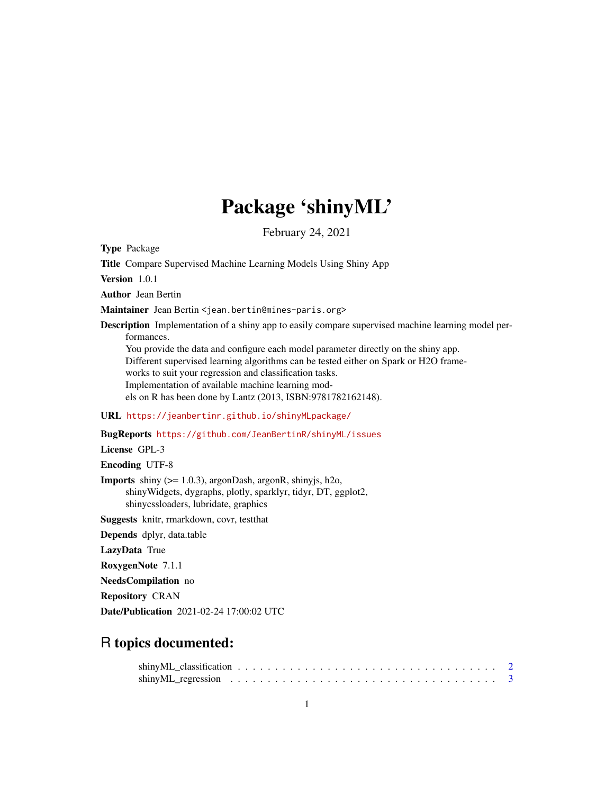## Package 'shinyML'

February 24, 2021

Type Package

Title Compare Supervised Machine Learning Models Using Shiny App

Version 1.0.1

Author Jean Bertin

Maintainer Jean Bertin <jean.bertin@mines-paris.org>

Description Implementation of a shiny app to easily compare supervised machine learning model performances.

You provide the data and configure each model parameter directly on the shiny app. Different supervised learning algorithms can be tested either on Spark or H2O frameworks to suit your regression and classification tasks. Implementation of available machine learning models on R has been done by Lantz (2013, ISBN:9781782162148).

URL <https://jeanbertinr.github.io/shinyMLpackage/>

BugReports <https://github.com/JeanBertinR/shinyML/issues>

License GPL-3

Encoding UTF-8

Imports shiny (>= 1.0.3), argonDash, argonR, shinyjs, h2o, shinyWidgets, dygraphs, plotly, sparklyr, tidyr, DT, ggplot2, shinycssloaders, lubridate, graphics

Suggests knitr, rmarkdown, covr, testthat

Depends dplyr, data.table

LazyData True

RoxygenNote 7.1.1

NeedsCompilation no

Repository CRAN

Date/Publication 2021-02-24 17:00:02 UTC

### R topics documented: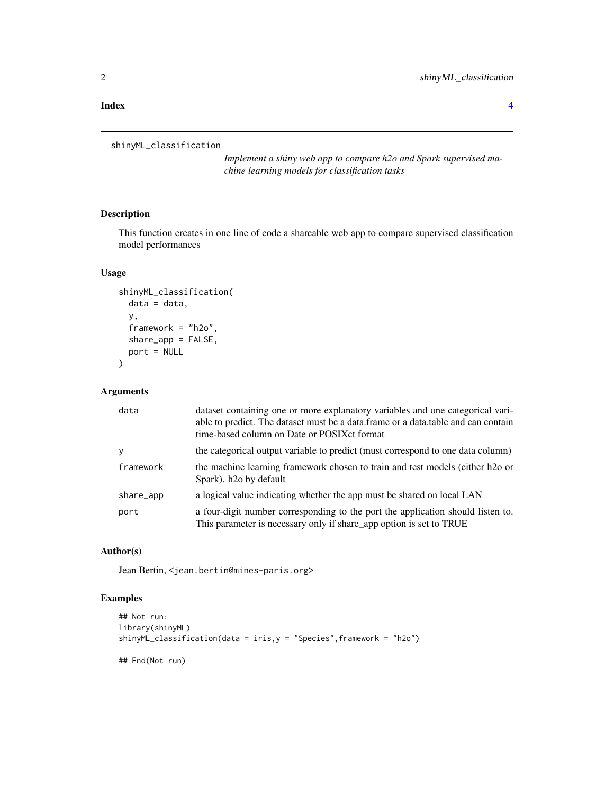### **Index** [4](#page-3-0)

```
shinyML_classification
```
*Implement a shiny web app to compare h2o and Spark supervised machine learning models for classification tasks*

### Description

This function creates in one line of code a shareable web app to compare supervised classification model performances

### Usage

```
shinyML_classification(
  data = data,
  y,
  framework = "h2o",
  share_app = FALSE,
  port = NULL
\mathcal{L}
```
### Arguments

| data      | dataset containing one or more explanatory variables and one categorical vari-<br>able to predict. The dataset must be a data.frame or a data.table and can contain<br>time-based column on Date or POSIX ct format |
|-----------|---------------------------------------------------------------------------------------------------------------------------------------------------------------------------------------------------------------------|
| y         | the categorical output variable to predict (must correspond to one data column)                                                                                                                                     |
| framework | the machine learning framework chosen to train and test models (either h2o or<br>Spark). h <sub>20</sub> by default                                                                                                 |
| share_app | a logical value indicating whether the app must be shared on local LAN                                                                                                                                              |
| port      | a four-digit number corresponding to the port the application should listen to.<br>This parameter is necessary only if share_app option is set to TRUE                                                              |

### Author(s)

Jean Bertin, <jean.bertin@mines-paris.org>

### Examples

```
## Not run:
library(shinyML)
shinyML_classification(data = iris,y = "Species",framework = "h2o")
## End(Not run)
```
<span id="page-1-0"></span>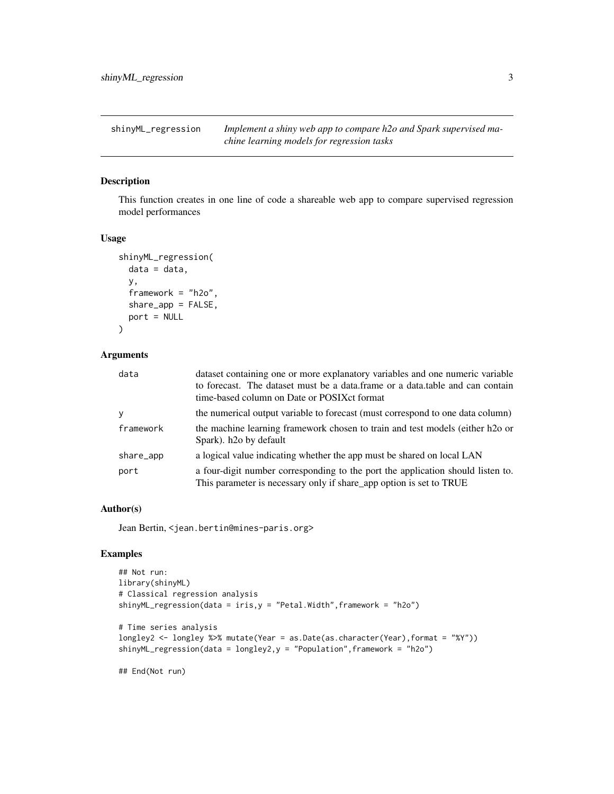<span id="page-2-0"></span>shinyML\_regression *Implement a shiny web app to compare h2o and Spark supervised machine learning models for regression tasks*

### Description

This function creates in one line of code a shareable web app to compare supervised regression model performances

### Usage

```
shinyML_regression(
  data = data,y,
  framework = "h2o",
  share_app = FALSE,
 port = NULL
)
```
### Arguments

| data      | dataset containing one or more explanatory variables and one numeric variable<br>to forecast. The dataset must be a data.frame or a data.table and can contain<br>time-based column on Date or POSIX ct format |
|-----------|----------------------------------------------------------------------------------------------------------------------------------------------------------------------------------------------------------------|
| <b>y</b>  | the numerical output variable to forecast (must correspond to one data column)                                                                                                                                 |
| framework | the machine learning framework chosen to train and test models (either h2o or<br>Spark). h <sub>20</sub> by default                                                                                            |
| share_app | a logical value indicating whether the app must be shared on local LAN                                                                                                                                         |
| port      | a four-digit number corresponding to the port the application should listen to.<br>This parameter is necessary only if share_app option is set to TRUE                                                         |

### Author(s)

Jean Bertin, <jean.bertin@mines-paris.org>

### Examples

```
## Not run:
library(shinyML)
# Classical regression analysis
shinyML_regression(data = iris,y = "Petal.Width",framework = "h2o")
# Time series analysis
longley2 <- longley %>% mutate(Year = as.Date(as.character(Year),format = "%Y"))
shinyML_regression(data = longley2,y = "Population",framework = "h2o")
```
## End(Not run)